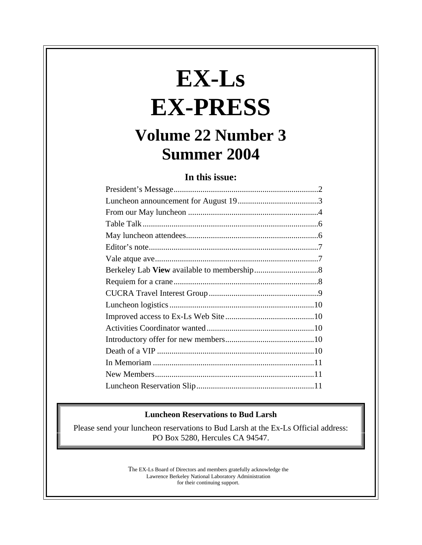# **EX-Ls EX-PRESS**

# **Volume 22 Number 3 Summer 2004**

**In this issue:**

#### **Luncheon Reservations to Bud Larsh**

Please send your luncheon reservations to Bud Larsh at the Ex-Ls Official address: PO Box 5280, Hercules CA 94547.

> The EX-Ls Board of Directors and members gratefully acknowledge the Lawrence Berkeley National Laboratory Administration for their continuing support.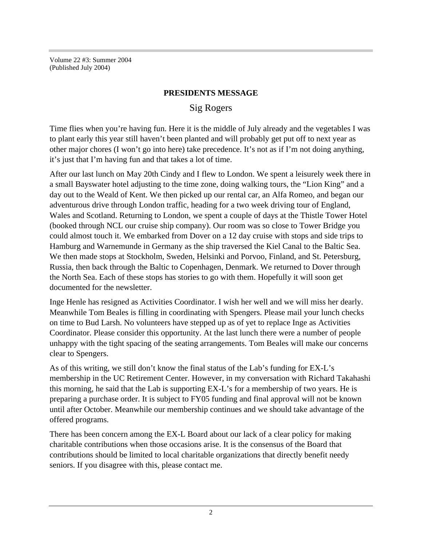Volume 22 #3: Summer 2004 (Published July 2004)

#### **PRESIDENTS MESSAGE**

## Sig Rogers

Time flies when you're having fun. Here it is the middle of July already and the vegetables I was to plant early this year still haven't been planted and will probably get put off to next year as other major chores (I won't go into here) take precedence. It's not as if I'm not doing anything, it's just that I'm having fun and that takes a lot of time.

After our last lunch on May 20th Cindy and I flew to London. We spent a leisurely week there in a small Bayswater hotel adjusting to the time zone, doing walking tours, the "Lion King" and a day out to the Weald of Kent. We then picked up our rental car, an Alfa Romeo, and began our adventurous drive through London traffic, heading for a two week driving tour of England, Wales and Scotland. Returning to London, we spent a couple of days at the Thistle Tower Hotel (booked through NCL our cruise ship company). Our room was so close to Tower Bridge you could almost touch it. We embarked from Dover on a 12 day cruise with stops and side trips to Hamburg and Warnemunde in Germany as the ship traversed the Kiel Canal to the Baltic Sea. We then made stops at Stockholm, Sweden, Helsinki and Porvoo, Finland, and St. Petersburg, Russia, then back through the Baltic to Copenhagen, Denmark. We returned to Dover through the North Sea. Each of these stops has stories to go with them. Hopefully it will soon get documented for the newsletter.

Inge Henle has resigned as Activities Coordinator. I wish her well and we will miss her dearly. Meanwhile Tom Beales is filling in coordinating with Spengers. Please mail your lunch checks on time to Bud Larsh. No volunteers have stepped up as of yet to replace Inge as Activities Coordinator. Please consider this opportunity. At the last lunch there were a number of people unhappy with the tight spacing of the seating arrangements. Tom Beales will make our concerns clear to Spengers.

As of this writing, we still don't know the final status of the Lab's funding for EX-L's membership in the UC Retirement Center. However, in my conversation with Richard Takahashi this morning, he said that the Lab is supporting EX-L's for a membership of two years. He is preparing a purchase order. It is subject to FY05 funding and final approval will not be known until after October. Meanwhile our membership continues and we should take advantage of the offered programs.

There has been concern among the EX-L Board about our lack of a clear policy for making charitable contributions when those occasions arise. It is the consensus of the Board that contributions should be limited to local charitable organizations that directly benefit needy seniors. If you disagree with this, please contact me.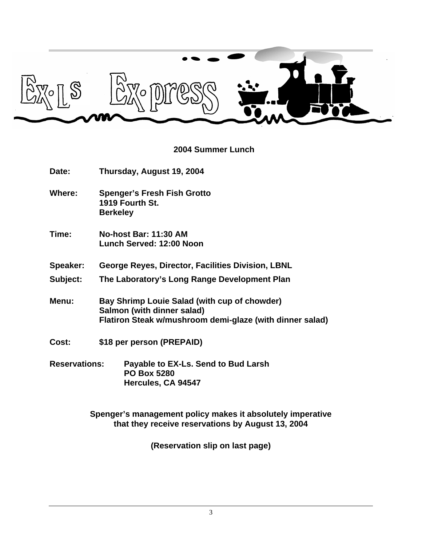

# **2004 Summer Lunch**

| Date:                | Thursday, August 19, 2004                                                                                                              |  |  |
|----------------------|----------------------------------------------------------------------------------------------------------------------------------------|--|--|
| Where:               | <b>Spenger's Fresh Fish Grotto</b><br>1919 Fourth St.<br><b>Berkeley</b>                                                               |  |  |
| Time:                | No-host Bar: 11:30 AM<br><b>Lunch Served: 12:00 Noon</b>                                                                               |  |  |
| Speaker:             | George Reyes, Director, Facilities Division, LBNL                                                                                      |  |  |
| Subject:             | The Laboratory's Long Range Development Plan                                                                                           |  |  |
| Menu:                | Bay Shrimp Louie Salad (with cup of chowder)<br>Salmon (with dinner salad)<br>Flatiron Steak w/mushroom demi-glaze (with dinner salad) |  |  |
| Cost:                | \$18 per person (PREPAID)                                                                                                              |  |  |
| <b>Reservations:</b> | Payable to EX-Ls. Send to Bud Larsh<br><b>PO Box 5280</b><br>Hercules, CA 94547                                                        |  |  |
|                      | Spenger's management policy makes it absolutely imperative                                                                             |  |  |

**(Reservation slip on last page)**

**that they receive reservations by August 13, 2004**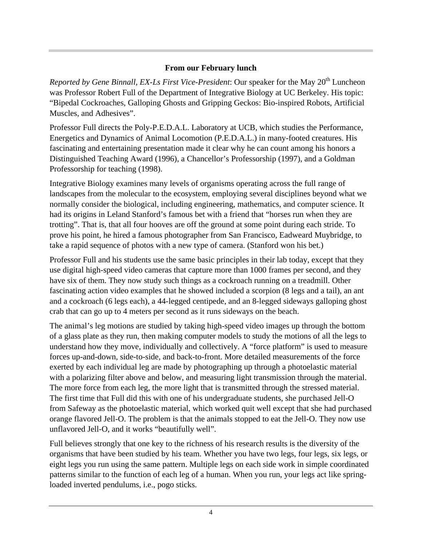## **From our February lunch**

*Reported by Gene Binnall, EX-Ls First Vice-President*: Our speaker for the May 20<sup>th</sup> Luncheon was Professor Robert Full of the Department of Integrative Biology at UC Berkeley. His topic: "Bipedal Cockroaches, Galloping Ghosts and Gripping Geckos: Bio-inspired Robots, Artificial Muscles, and Adhesives".

Professor Full directs the Poly-P.E.D.A.L. Laboratory at UCB, which studies the Performance, Energetics and Dynamics of Animal Locomotion (P.E.D.A.L.) in many-footed creatures. His fascinating and entertaining presentation made it clear why he can count among his honors a Distinguished Teaching Award (1996), a Chancellor's Professorship (1997), and a Goldman Professorship for teaching (1998).

Integrative Biology examines many levels of organisms operating across the full range of landscapes from the molecular to the ecosystem, employing several disciplines beyond what we normally consider the biological, including engineering, mathematics, and computer science. It had its origins in Leland Stanford's famous bet with a friend that "horses run when they are trotting". That is, that all four hooves are off the ground at some point during each stride. To prove his point, he hired a famous photographer from San Francisco, Eadweard Muybridge, to take a rapid sequence of photos with a new type of camera. (Stanford won his bet.)

Professor Full and his students use the same basic principles in their lab today, except that they use digital high-speed video cameras that capture more than 1000 frames per second, and they have six of them. They now study such things as a cockroach running on a treadmill. Other fascinating action video examples that he showed included a scorpion (8 legs and a tail), an ant and a cockroach (6 legs each), a 44-legged centipede, and an 8-legged sideways galloping ghost crab that can go up to 4 meters per second as it runs sideways on the beach.

The animal's leg motions are studied by taking high-speed video images up through the bottom of a glass plate as they run, then making computer models to study the motions of all the legs to understand how they move, individually and collectively. A "force platform" is used to measure forces up-and-down, side-to-side, and back-to-front. More detailed measurements of the force exerted by each individual leg are made by photographing up through a photoelastic material with a polarizing filter above and below, and measuring light transmission through the material. The more force from each leg, the more light that is transmitted through the stressed material. The first time that Full did this with one of his undergraduate students, she purchased Jell-O from Safeway as the photoelastic material, which worked quit well except that she had purchased orange flavored Jell-O. The problem is that the animals stopped to eat the Jell-O. They now use unflavored Jell-O, and it works "beautifully well".

Full believes strongly that one key to the richness of his research results is the diversity of the organisms that have been studied by his team. Whether you have two legs, four legs, six legs, or eight legs you run using the same pattern. Multiple legs on each side work in simple coordinated patterns similar to the function of each leg of a human. When you run, your legs act like springloaded inverted pendulums, i.e., pogo sticks.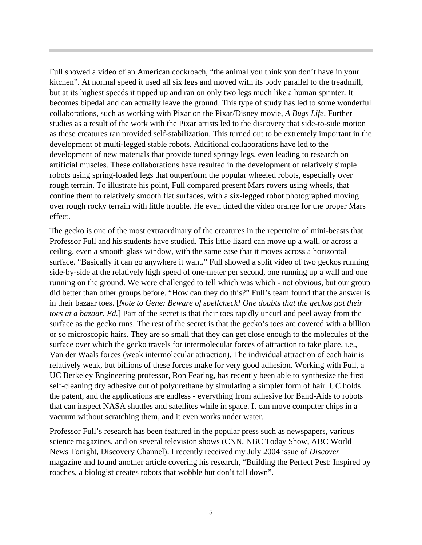Full showed a video of an American cockroach, "the animal you think you don't have in your kitchen". At normal speed it used all six legs and moved with its body parallel to the treadmill, but at its highest speeds it tipped up and ran on only two legs much like a human sprinter. It becomes bipedal and can actually leave the ground. This type of study has led to some wonderful collaborations, such as working with Pixar on the Pixar/Disney movie, *A Bugs Life*. Further studies as a result of the work with the Pixar artists led to the discovery that side-to-side motion as these creatures ran provided self-stabilization. This turned out to be extremely important in the development of multi-legged stable robots. Additional collaborations have led to the development of new materials that provide tuned springy legs, even leading to research on artificial muscles. These collaborations have resulted in the development of relatively simple robots using spring-loaded legs that outperform the popular wheeled robots, especially over rough terrain. To illustrate his point, Full compared present Mars rovers using wheels, that confine them to relatively smooth flat surfaces, with a six-legged robot photographed moving over rough rocky terrain with little trouble. He even tinted the video orange for the proper Mars effect.

The gecko is one of the most extraordinary of the creatures in the repertoire of mini-beasts that Professor Full and his students have studied. This little lizard can move up a wall, or across a ceiling, even a smooth glass window, with the same ease that it moves across a horizontal surface. "Basically it can go anywhere it want." Full showed a split video of two geckos running side-by-side at the relatively high speed of one-meter per second, one running up a wall and one running on the ground. We were challenged to tell which was which - not obvious, but our group did better than other groups before. "How can they do this?" Full's team found that the answer is in their bazaar toes. [*Note to Gene: Beware of spellcheck! One doubts that the geckos got their toes at a bazaar. Ed.*] Part of the secret is that their toes rapidly uncurl and peel away from the surface as the gecko runs. The rest of the secret is that the gecko's toes are covered with a billion or so microscopic hairs. They are so small that they can get close enough to the molecules of the surface over which the gecko travels for intermolecular forces of attraction to take place, i.e., Van der Waals forces (weak intermolecular attraction). The individual attraction of each hair is relatively weak, but billions of these forces make for very good adhesion. Working with Full, a UC Berkeley Engineering professor, Ron Fearing, has recently been able to synthesize the first self-cleaning dry adhesive out of polyurethane by simulating a simpler form of hair. UC holds the patent, and the applications are endless - everything from adhesive for Band-Aids to robots that can inspect NASA shuttles and satellites while in space. It can move computer chips in a vacuum without scratching them, and it even works under water.

Professor Full's research has been featured in the popular press such as newspapers, various science magazines, and on several television shows (CNN, NBC Today Show, ABC World News Tonight, Discovery Channel). I recently received my July 2004 issue of *Discover* magazine and found another article covering his research, "Building the Perfect Pest: Inspired by roaches, a biologist creates robots that wobble but don't fall down".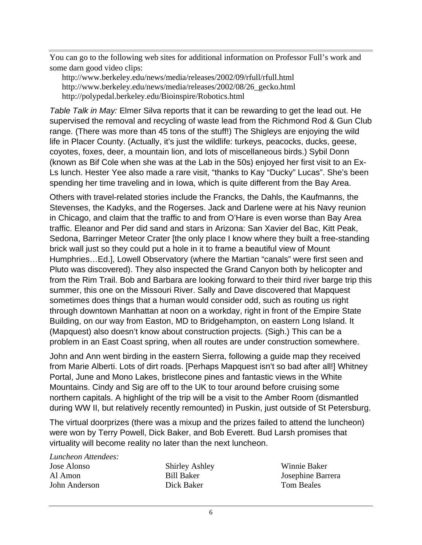You can go to the following web sites for additional information on Professor Full's work and some darn good video clips:

http://www.berkeley.edu/news/media/releases/2002/09/rfull/rfull.html http://www.berkeley.edu/news/media/releases/2002/08/26\_gecko.html http://polypedal.berkeley.edu/Bioinspire/Robotics.html

*Table Talk in May:* Elmer Silva reports that it can be rewarding to get the lead out. He supervised the removal and recycling of waste lead from the Richmond Rod & Gun Club range. (There was more than 45 tons of the stuff!) The Shigleys are enjoying the wild life in Placer County. (Actually, it's just the wildlife: turkeys, peacocks, ducks, geese, coyotes, foxes, deer, a mountain lion, and lots of miscellaneous birds.) Sybil Donn (known as Bif Cole when she was at the Lab in the 50s) enjoyed her first visit to an Ex-Ls lunch. Hester Yee also made a rare visit, "thanks to Kay "Ducky" Lucas". She's been spending her time traveling and in Iowa, which is quite different from the Bay Area.

Others with travel-related stories include the Francks, the Dahls, the Kaufmanns, the Stevenses, the Kadyks, and the Rogerses. Jack and Darlene were at his Navy reunion in Chicago, and claim that the traffic to and from O'Hare is even worse than Bay Area traffic. Eleanor and Per did sand and stars in Arizona: San Xavier del Bac, Kitt Peak, Sedona, Barringer Meteor Crater [the only place I know where they built a free-standing brick wall just so they could put a hole in it to frame a beautiful view of Mount Humphries…Ed.], Lowell Observatory (where the Martian "canals" were first seen and Pluto was discovered). They also inspected the Grand Canyon both by helicopter and from the Rim Trail. Bob and Barbara are looking forward to their third river barge trip this summer, this one on the Missouri River. Sally and Dave discovered that Mapquest sometimes does things that a human would consider odd, such as routing us right through downtown Manhattan at noon on a workday, right in front of the Empire State Building, on our way from Easton, MD to Bridgehampton, on eastern Long Island. It (Mapquest) also doesn't know about construction projects. (Sigh.) This can be a problem in an East Coast spring, when all routes are under construction somewhere.

John and Ann went birding in the eastern Sierra, following a guide map they received from Marie Alberti. Lots of dirt roads. [Perhaps Mapquest isn't so bad after all!] Whitney Portal, June and Mono Lakes, bristlecone pines and fantastic views in the White Mountains. Cindy and Sig are off to the UK to tour around before cruising some northern capitals. A highlight of the trip will be a visit to the Amber Room (dismantled during WW II, but relatively recently remounted) in Puskin, just outside of St Petersburg.

The virtual doorprizes (there was a mixup and the prizes failed to attend the luncheon) were won by Terry Powell, Dick Baker, and Bob Everett. Bud Larsh promises that virtuality will become reality no later than the next luncheon.

*Luncheon Attendees:* Jose Alonso Al Amon

John Anderson

Shirley Ashley Bill Baker Dick Baker

Winnie Baker Josephine Barrera Tom Beales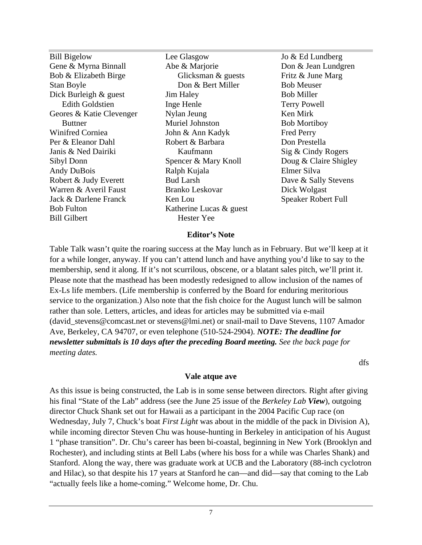Bill Bigelow Gene & Myrna Binnall Bob & Elizabeth Birge Stan Boyle Dick Burleigh & guest Edith Goldstien Geores & Katie Clevenger Buttner Winifred Corniea Per & Eleanor Dahl Janis & Ned Dairiki Sibyl Donn Andy DuBois Robert & Judy Everett Warren & Averil Faust Jack & Darlene Franck Bob Fulton Bill Gilbert

Lee Glasgow Abe & Marjorie Glicksman & guests Don & Bert Miller Jim Haley Inge Henle Nylan Jeung Muriel Johnston John & Ann Kadyk Robert & Barbara Kaufmann Spencer & Mary Knoll Ralph Kujala Bud Larsh Branko Leskovar Ken Lou Katherine Lucas & guest Hester Yee

Jo & Ed Lundberg Don & Jean Lundgren Fritz & June Marg Bob Meuser Bob Miller Terry Powell Ken Mirk Bob Mortiboy Fred Perry Don Prestella Sig & Cindy Rogers Doug & Claire Shigley Elmer Silva Dave & Sally Stevens Dick Wolgast Speaker Robert Full

#### **Editor's Note**

Table Talk wasn't quite the roaring success at the May lunch as in February. But we'll keep at it for a while longer, anyway. If you can't attend lunch and have anything you'd like to say to the membership, send it along. If it's not scurrilous, obscene, or a blatant sales pitch, we'll print it. Please note that the masthead has been modestly redesigned to allow inclusion of the names of Ex-Ls life members. (Life membership is conferred by the Board for enduring meritorious service to the organization.) Also note that the fish choice for the August lunch will be salmon rather than sole. Letters, articles, and ideas for articles may be submitted via e-mail (david\_stevens@comcast.net or stevens@lmi.net) or snail-mail to Dave Stevens, 1107 Amador Ave, Berkeley, CA 94707, or even telephone (510-524-2904). *NOTE: The deadline for newsletter submittals is 10 days after the preceding Board meeting. See the back page for meeting dates.*

dfs

#### **Vale atque ave**

As this issue is being constructed, the Lab is in some sense between directors. Right after giving his final "State of the Lab" address (see the June 25 issue of the *Berkeley Lab View*), outgoing director Chuck Shank set out for Hawaii as a participant in the 2004 Pacific Cup race (on Wednesday, July 7, Chuck's boat *First Light* was about in the middle of the pack in Division A), while incoming director Steven Chu was house-hunting in Berkeley in anticipation of his August 1 "phase transition". Dr. Chu's career has been bi-coastal, beginning in New York (Brooklyn and Rochester), and including stints at Bell Labs (where his boss for a while was Charles Shank) and Stanford. Along the way, there was graduate work at UCB and the Laboratory (88-inch cyclotron and Hilac), so that despite his 17 years at Stanford he can—and did—say that coming to the Lab "actually feels like a home-coming." Welcome home, Dr. Chu.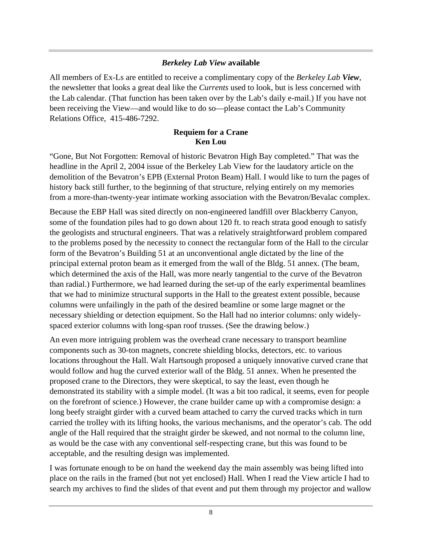#### *Berkeley Lab View* **available**

All members of Ex-Ls are entitled to receive a complimentary copy of the *Berkeley Lab View*, the newsletter that looks a great deal like the *Currents* used to look, but is less concerned with the Lab calendar. (That function has been taken over by the Lab's daily e-mail.) If you have not been receiving the View—and would like to do so—please contact the Lab's Community Relations Office, 415-486-7292.

#### **Requiem for a Crane Ken Lou**

"Gone, But Not Forgotten: Removal of historic Bevatron High Bay completed." That was the headline in the April 2, 2004 issue of the Berkeley Lab View for the laudatory article on the demolition of the Bevatron's EPB (External Proton Beam) Hall. I would like to turn the pages of history back still further, to the beginning of that structure, relying entirely on my memories from a more-than-twenty-year intimate working association with the Bevatron/Bevalac complex.

Because the EBP Hall was sited directly on non-engineered landfill over Blackberry Canyon, some of the foundation piles had to go down about 120 ft. to reach strata good enough to satisfy the geologists and structural engineers. That was a relatively straightforward problem compared to the problems posed by the necessity to connect the rectangular form of the Hall to the circular form of the Bevatron's Building 51 at an unconventional angle dictated by the line of the principal external proton beam as it emerged from the wall of the Bldg. 51 annex. (The beam, which determined the axis of the Hall, was more nearly tangential to the curve of the Bevatron than radial.) Furthermore, we had learned during the set-up of the early experimental beamlines that we had to minimize structural supports in the Hall to the greatest extent possible, because columns were unfailingly in the path of the desired beamline or some large magnet or the necessary shielding or detection equipment. So the Hall had no interior columns: only widelyspaced exterior columns with long-span roof trusses. (See the drawing below.)

An even more intriguing problem was the overhead crane necessary to transport beamline components such as 30-ton magnets, concrete shielding blocks, detectors, etc. to various locations throughout the Hall. Walt Hartsough proposed a uniquely innovative curved crane that would follow and hug the curved exterior wall of the Bldg. 51 annex. When he presented the proposed crane to the Directors, they were skeptical, to say the least, even though he demonstrated its stability with a simple model. (It was a bit too radical, it seems, even for people on the forefront of science.) However, the crane builder came up with a compromise design: a long beefy straight girder with a curved beam attached to carry the curved tracks which in turn carried the trolley with its lifting hooks, the various mechanisms, and the operator's cab. The odd angle of the Hall required that the straight girder be skewed, and not normal to the column line, as would be the case with any conventional self-respecting crane, but this was found to be acceptable, and the resulting design was implemented.

I was fortunate enough to be on hand the weekend day the main assembly was being lifted into place on the rails in the framed (but not yet enclosed) Hall. When I read the View article I had to search my archives to find the slides of that event and put them through my projector and wallow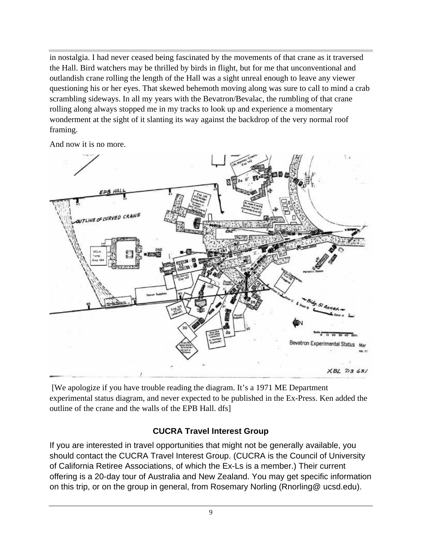in nostalgia. I had never ceased being fascinated by the movements of that crane as it traversed the Hall. Bird watchers may be thrilled by birds in flight, but for me that unconventional and outlandish crane rolling the length of the Hall was a sight unreal enough to leave any viewer questioning his or her eyes. That skewed behemoth moving along was sure to call to mind a crab scrambling sideways. In all my years with the Bevatron/Bevalac, the rumbling of that crane rolling along always stopped me in my tracks to look up and experience a momentary wonderment at the sight of it slanting its way against the backdrop of the very normal roof framing.

And now it is no more.



 [We apologize if you have trouble reading the diagram. It's a 1971 ME Department experimental status diagram, and never expected to be published in the Ex-Press. Ken added the outline of the crane and the walls of the EPB Hall. dfs]

# **CUCRA Travel Interest Group**

If you are interested in travel opportunities that might not be generally available, you should contact the CUCRA Travel Interest Group. (CUCRA is the Council of University of California Retiree Associations, of which the Ex-Ls is a member.) Their current offering is a 20-day tour of Australia and New Zealand. You may get specific information on this trip, or on the group in general, from Rosemary Norling (Rnorling@ ucsd.edu).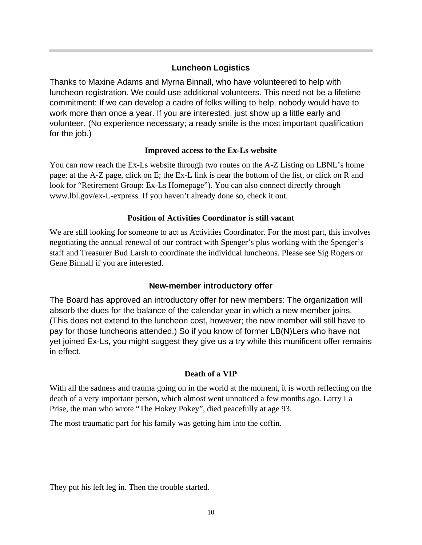# **Luncheon Logistics**

Thanks to Maxine Adams and Myrna Binnall, who have volunteered to help with luncheon registration. We could use additional volunteers. This need not be a lifetime commitment: If we can develop a cadre of folks willing to help, nobody would have to work more than once a year. If you are interested, just show up a little early and volunteer. (No experience necessary; a ready smile is the most important qualification for the job.)

## **Improved access to the Ex-Ls website**

You can now reach the Ex-Ls website through two routes on the A-Z Listing on LBNL's home page: at the A-Z page, click on E; the Ex-L link is near the bottom of the list, or click on R and look for "Retirement Group: Ex-Ls Homepage"). You can also connect directly through www.lbl.gov/ex-L-express. If you haven't already done so, check it out.

# **Position of Activities Coordinator is still vacant**

We are still looking for someone to act as Activities Coordinator. For the most part, this involves negotiating the annual renewal of our contract with Spenger's plus working with the Spenger's staff and Treasurer Bud Larsh to coordinate the individual luncheons. Please see Sig Rogers or Gene Binnall if you are interested.

# **New-member introductory offer**

The Board has approved an introductory offer for new members: The organization will absorb the dues for the balance of the calendar year in which a new member joins. (This does not extend to the luncheon cost, however; the new member will still have to pay for those luncheons attended.) So if you know of former LB(N)Lers who have not yet joined Ex-Ls, you might suggest they give us a try while this munificent offer remains in effect.

# **Death of a VIP**

With all the sadness and trauma going on in the world at the moment, it is worth reflecting on the death of a very important person, which almost went unnoticed a few months ago. Larry La Prise, the man who wrote "The Hokey Pokey", died peacefully at age 93.

The most traumatic part for his family was getting him into the coffin.

They put his left leg in. Then the trouble started.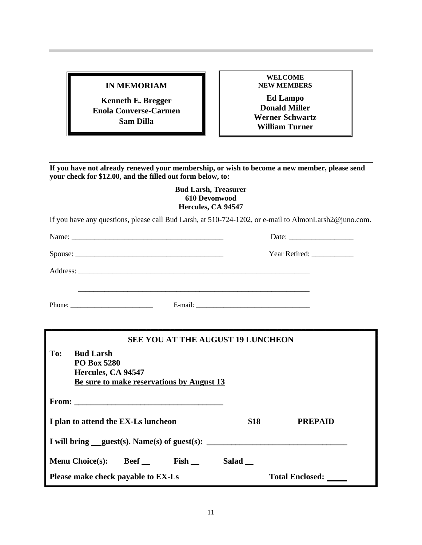#### **IN MEMORIAM**

**Kenneth E. Bregger Enola Converse-Carmen Sam Dilla**

**WELCOME NEW MEMBERS**

**Ed Lampo Donald Miller Werner Schwartz William Turner**

**If you have not already renewed your membership, or wish to become a new member, please send your check for \$12.00, and the filled out form below, to:**

#### **Bud Larsh, Treasurer 610 Devonwood Hercules, CA 94547**

If you have any questions, please call Bud Larsh, at 510-724-1202, or e-mail to AlmonLarsh2@juno.com.

|     |                  | Name:                                    |                              |
|-----|------------------|------------------------------------------|------------------------------|
|     |                  |                                          | Year Retired: ______________ |
|     |                  |                                          |                              |
|     |                  |                                          |                              |
|     |                  | <b>SEE YOU AT THE AUGUST 19 LUNCHEON</b> |                              |
| To: | <b>Bud Larsh</b> |                                          |                              |

| To: | <b>Bud Larsh</b><br><b>PO Box 5280</b><br>Hercules, CA 94547<br>Be sure to make reservations by August 13 |       |                        |
|-----|-----------------------------------------------------------------------------------------------------------|-------|------------------------|
|     | From: $\qquad \qquad$                                                                                     |       |                        |
|     | I plan to attend the EX-Ls luncheon                                                                       | \$18  | <b>PREPAID</b>         |
|     | I will bring $quest(s)$ . Name(s) of guest(s):                                                            |       |                        |
|     | <b>Beef</b> Fish<br><b>Menu Choice(s):</b>                                                                | Salad |                        |
|     | Please make check payable to EX-Ls                                                                        |       | <b>Total Enclosed:</b> |